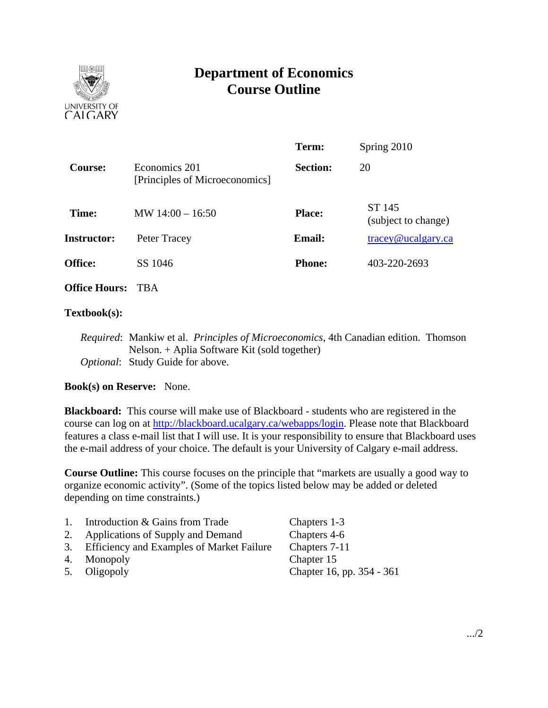

# **Department of Economics Course Outline**

|                    |                                                 | Term:           | Spring 2010                   |
|--------------------|-------------------------------------------------|-----------------|-------------------------------|
| <b>Course:</b>     | Economics 201<br>[Principles of Microeconomics] | <b>Section:</b> | 20                            |
| Time:              | MW $14:00 - 16:50$                              | <b>Place:</b>   | ST 145<br>(subject to change) |
| <b>Instructor:</b> | Peter Tracey                                    | <b>Email:</b>   | $trace$ y@ucalgary.ca         |
| <b>Office:</b>     | SS 1046                                         | <b>Phone:</b>   | 403-220-2693                  |
| $\sim$ $\sim$      |                                                 |                 |                               |

**Office Hours:** TBA

## **Textbook(s):**

*Required*: Mankiw et al. *Principles of Microeconomics*, 4th Canadian edition. Thomson Nelson. + Aplia Software Kit (sold together) *Optional*: Study Guide for above.

# **Book(s) on Reserve:** None.

**Blackboard:** This course will make use of Blackboard - students who are registered in the course can log on at http://blackboard.ucalgary.ca/webapps/login. Please note that Blackboard features a class e-mail list that I will use. It is your responsibility to ensure that Blackboard uses the e-mail address of your choice. The default is your University of Calgary e-mail address.

**Course Outline:** This course focuses on the principle that "markets are usually a good way to organize economic activity". (Some of the topics listed below may be added or deleted depending on time constraints.)

| 1. | Introduction & Gains from Trade              | Chapters 1-3              |
|----|----------------------------------------------|---------------------------|
|    | 2. Applications of Supply and Demand         | Chapters 4-6              |
|    | 3. Efficiency and Examples of Market Failure | Chapters 7-11             |
|    | 4. Monopoly                                  | Chapter 15                |
|    | 5. Oligopoly                                 | Chapter 16, pp. 354 - 361 |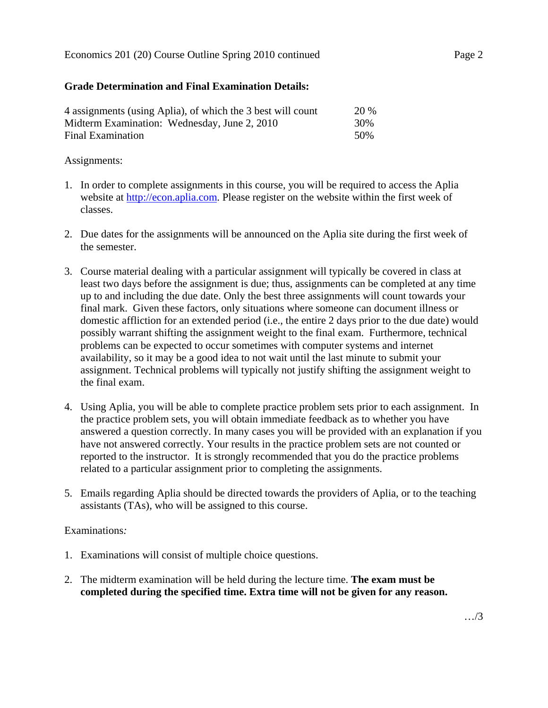#### Economics 201 (20) Course Outline Spring 2010 continued Page 2

## **Grade Determination and Final Examination Details:**

| 4 assignments (using Aplia), of which the 3 best will count | 20 % |
|-------------------------------------------------------------|------|
| Midterm Examination: Wednesday, June 2, 2010                | 30%  |
| Final Examination                                           | 50%  |

### Assignments:

- 1. In order to complete assignments in this course, you will be required to access the Aplia website at http://econ.aplia.com. Please register on the website within the first week of classes.
- 2. Due dates for the assignments will be announced on the Aplia site during the first week of the semester.
- 3. Course material dealing with a particular assignment will typically be covered in class at least two days before the assignment is due; thus, assignments can be completed at any time up to and including the due date. Only the best three assignments will count towards your final mark. Given these factors, only situations where someone can document illness or domestic affliction for an extended period (i.e., the entire 2 days prior to the due date) would possibly warrant shifting the assignment weight to the final exam. Furthermore, technical problems can be expected to occur sometimes with computer systems and internet availability, so it may be a good idea to not wait until the last minute to submit your assignment. Technical problems will typically not justify shifting the assignment weight to the final exam.
- 4. Using Aplia, you will be able to complete practice problem sets prior to each assignment. In the practice problem sets, you will obtain immediate feedback as to whether you have answered a question correctly. In many cases you will be provided with an explanation if you have not answered correctly. Your results in the practice problem sets are not counted or reported to the instructor. It is strongly recommended that you do the practice problems related to a particular assignment prior to completing the assignments.
- 5. Emails regarding Aplia should be directed towards the providers of Aplia, or to the teaching assistants (TAs), who will be assigned to this course.

#### Examinations*:*

- 1. Examinations will consist of multiple choice questions.
- 2. The midterm examination will be held during the lecture time. **The exam must be completed during the specified time. Extra time will not be given for any reason.**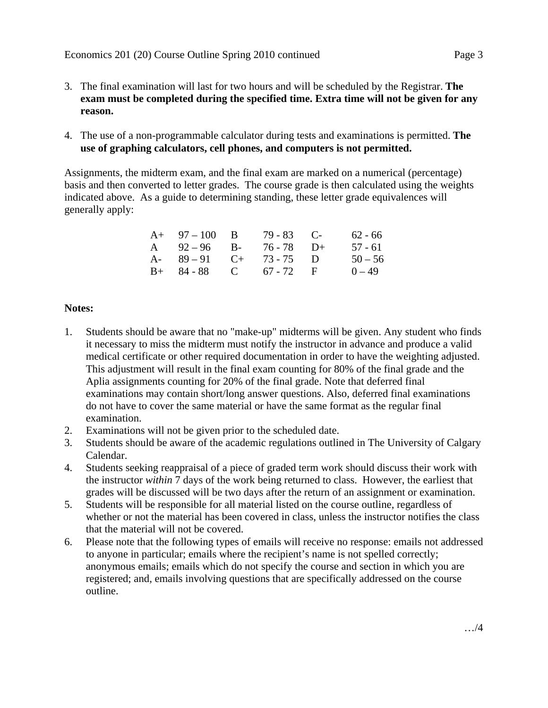- 3. The final examination will last for two hours and will be scheduled by the Registrar. **The exam must be completed during the specified time. Extra time will not be given for any reason.**
- 4. The use of a non-programmable calculator during tests and examinations is permitted. **The use of graphing calculators, cell phones, and computers is not permitted.**

Assignments, the midterm exam, and the final exam are marked on a numerical (percentage) basis and then converted to letter grades. The course grade is then calculated using the weights indicated above. As a guide to determining standing, these letter grade equivalences will generally apply:

| $A+ 97-100 B$           | $79 - 83$ C- | $62 - 66$ |
|-------------------------|--------------|-----------|
| A $92-96$ B- $76-78$ D+ |              | 57 - 61   |
| A- $89-91$ C+ 73-75 D   |              | $50 - 56$ |
| $B+ 84-88$ C 67 - 72 F  |              | $0 - 49$  |

# **Notes:**

- 1. Students should be aware that no "make-up" midterms will be given. Any student who finds it necessary to miss the midterm must notify the instructor in advance and produce a valid medical certificate or other required documentation in order to have the weighting adjusted. This adjustment will result in the final exam counting for 80% of the final grade and the Aplia assignments counting for 20% of the final grade. Note that deferred final examinations may contain short/long answer questions. Also, deferred final examinations do not have to cover the same material or have the same format as the regular final examination.
- 2. Examinations will not be given prior to the scheduled date.
- 3. Students should be aware of the academic regulations outlined in The University of Calgary Calendar.
- 4. Students seeking reappraisal of a piece of graded term work should discuss their work with the instructor *within* 7 days of the work being returned to class. However, the earliest that grades will be discussed will be two days after the return of an assignment or examination.
- 5. Students will be responsible for all material listed on the course outline, regardless of whether or not the material has been covered in class, unless the instructor notifies the class that the material will not be covered.
- 6. Please note that the following types of emails will receive no response: emails not addressed to anyone in particular; emails where the recipient's name is not spelled correctly; anonymous emails; emails which do not specify the course and section in which you are registered; and, emails involving questions that are specifically addressed on the course outline.